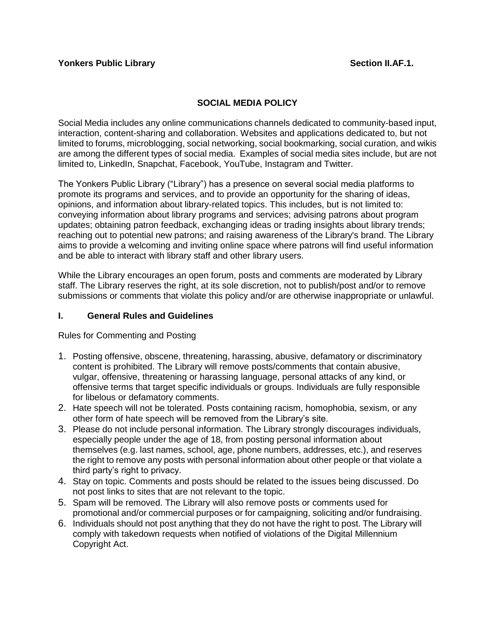## **SOCIAL MEDIA POLICY**

Social Media includes any online communications channels dedicated to community-based input, interaction, content-sharing and collaboration. Websites and applications dedicated to, but not limited to forums, microblogging, social networking, social bookmarking, social curation, and wikis are among the different types of social media. Examples of social media sites include, but are not limited to, LinkedIn, Snapchat, Facebook, YouTube, Instagram and Twitter.

The Yonkers Public Library ("Library") has a presence on several social media platforms to promote its programs and services, and to provide an opportunity for the sharing of ideas, opinions, and information about library-related topics. This includes, but is not limited to: conveying information about library programs and services; advising patrons about program updates; obtaining patron feedback, exchanging ideas or trading insights about library trends; reaching out to potential new patrons; and raising awareness of the Library's brand. The Library aims to provide a welcoming and inviting online space where patrons will find useful information and be able to interact with library staff and other library users.

While the Library encourages an open forum, posts and comments are moderated by Library staff. The Library reserves the right, at its sole discretion, not to publish/post and/or to remove submissions or comments that violate this policy and/or are otherwise inappropriate or unlawful.

### **I. General Rules and Guidelines**

Rules for Commenting and Posting

- 1. Posting offensive, obscene, threatening, harassing, abusive, defamatory or discriminatory content is prohibited. The Library will remove posts/comments that contain abusive, vulgar, offensive, threatening or harassing language, personal attacks of any kind, or offensive terms that target specific individuals or groups. Individuals are fully responsible for libelous or defamatory comments.
- 2. Hate speech will not be tolerated. Posts containing racism, homophobia, sexism, or any other form of hate speech will be removed from the Library's site.
- 3. Please do not include personal information. The Library strongly discourages individuals, especially people under the age of 18, from posting personal information about themselves (e.g. last names, school, age, phone numbers, addresses, etc.), and reserves the right to remove any posts with personal information about other people or that violate a third party's right to privacy.
- 4. Stay on topic. Comments and posts should be related to the issues being discussed. Do not post links to sites that are not relevant to the topic.
- 5. Spam will be removed. The Library will also remove posts or comments used for promotional and/or commercial purposes or for campaigning, soliciting and/or fundraising.
- 6. Individuals should not post anything that they do not have the right to post. The Library will comply with takedown requests when notified of violations of the Digital Millennium Copyright Act.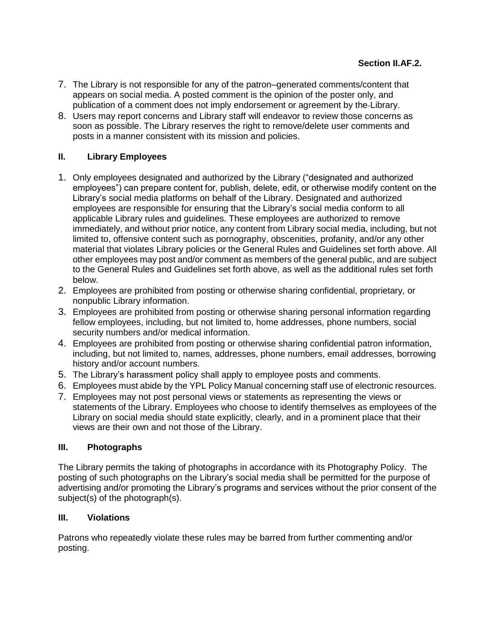- 7. The Library is not responsible for any of the patron–generated comments/content that appears on social media. A posted comment is the opinion of the poster only, and publication of a comment does not imply endorsement or agreement by the Library.
- 8. Users may report concerns and Library staff will endeavor to review those concerns as soon as possible. The Library reserves the right to remove/delete user comments and posts in a manner consistent with its mission and policies.

# **II. Library Employees**

- 1. Only employees designated and authorized by the Library ("designated and authorized employees") can prepare content for, publish, delete, edit, or otherwise modify content on the Library's social media platforms on behalf of the Library. Designated and authorized employees are responsible for ensuring that the Library's social media conform to all applicable Library rules and guidelines. These employees are authorized to remove immediately, and without prior notice, any content from Library social media, including, but not limited to, offensive content such as pornography, obscenities, profanity, and/or any other material that violates Library policies or the General Rules and Guidelines set forth above. All other employees may post and/or comment as members of the general public, and are subject to the General Rules and Guidelines set forth above, as well as the additional rules set forth below.
- 2. Employees are prohibited from posting or otherwise sharing confidential, proprietary, or nonpublic Library information.
- 3. Employees are prohibited from posting or otherwise sharing personal information regarding fellow employees, including, but not limited to, home addresses, phone numbers, social security numbers and/or medical information.
- 4. Employees are prohibited from posting or otherwise sharing confidential patron information, including, but not limited to, names, addresses, phone numbers, email addresses, borrowing history and/or account numbers.
- 5. The Library's harassment policy shall apply to employee posts and comments.
- 6. Employees must abide by the YPL Policy Manual concerning staff use of electronic resources.
- 7. Employees may not post personal views or statements as representing the views or statements of the Library. Employees who choose to identify themselves as employees of the Library on social media should state explicitly, clearly, and in a prominent place that their views are their own and not those of the Library.

### **III. Photographs**

The Library permits the taking of photographs in accordance with its Photography Policy. The posting of such photographs on the Library's social media shall be permitted for the purpose of advertising and/or promoting the Library's programs and services without the prior consent of the subject(s) of the photograph(s).

### **III. Violations**

Patrons who repeatedly violate these rules may be barred from further commenting and/or posting.